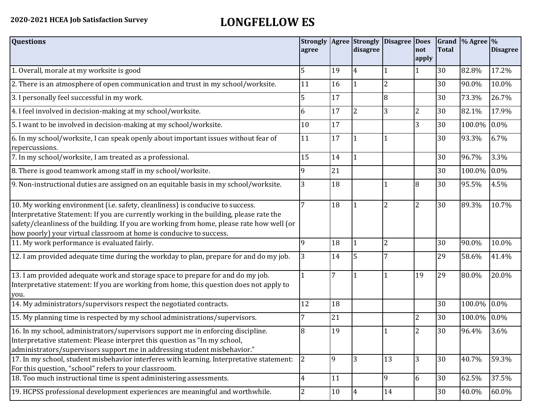## **2020-2021 HCEA Job Satisfaction Survey LONGFELLOW ES**

| <b>Questions</b>                                                                                                                                                                                                                                                                                                                               | agree          |    | <b>Strongly Agree Strongly</b><br>disagree | <b>Disagree</b> | <b>Does</b><br>not<br>apply | <b>Total</b> | Grand  % Agree  % | <b>Disagree</b> |
|------------------------------------------------------------------------------------------------------------------------------------------------------------------------------------------------------------------------------------------------------------------------------------------------------------------------------------------------|----------------|----|--------------------------------------------|-----------------|-----------------------------|--------------|-------------------|-----------------|
| 1. Overall, morale at my worksite is good                                                                                                                                                                                                                                                                                                      | 5              | 19 | 4                                          |                 |                             | 30           | 82.8%             | 17.2%           |
| 2. There is an atmosphere of open communication and trust in my school/worksite.                                                                                                                                                                                                                                                               | 11             | 16 |                                            | $\overline{2}$  |                             | 30           | 90.0%             | 10.0%           |
| 3. I personally feel successful in my work.                                                                                                                                                                                                                                                                                                    | 5              | 17 |                                            | 8               |                             | 30           | 73.3%             | 26.7%           |
| 4. I feel involved in decision-making at my school/worksite.                                                                                                                                                                                                                                                                                   | 6              | 17 | $\overline{2}$                             | 3               | $\overline{2}$              | 30           | 82.1%             | 17.9%           |
| 5. I want to be involved in decision-making at my school/worksite.                                                                                                                                                                                                                                                                             | 10             | 17 |                                            |                 | 3                           | 30           | 100.0%            | 0.0%            |
| 6. In my school/worksite, I can speak openly about important issues without fear of<br>repercussions.                                                                                                                                                                                                                                          | 11             | 17 |                                            |                 |                             | 30           | 93.3%             | 6.7%            |
| 7. In my school/worksite, I am treated as a professional.                                                                                                                                                                                                                                                                                      | 15             | 14 | $\mathbf{1}$                               |                 |                             | 30           | 96.7%             | 3.3%            |
| 8. There is good teamwork among staff in my school/worksite.                                                                                                                                                                                                                                                                                   |                | 21 |                                            |                 |                             | 30           | 100.0%            | 0.0%            |
| 9. Non-instructional duties are assigned on an equitable basis in my school/worksite.                                                                                                                                                                                                                                                          | 3              | 18 |                                            |                 | 8                           | 30           | 95.5%             | 4.5%            |
| 10. My working environment (i.e. safety, cleanliness) is conducive to success.<br>Interpretative Statement: If you are currently working in the building, please rate the<br>safety/cleanliness of the building. If you are working from home, please rate how well (or<br>how poorly) your virtual classroom at home is conducive to success. |                | 18 |                                            | $\overline{2}$  | $\overline{2}$              | 30           | 89.3%             | 10.7%           |
| 11. My work performance is evaluated fairly.                                                                                                                                                                                                                                                                                                   | q              | 18 |                                            | $\overline{2}$  |                             | 30           | 90.0%             | 10.0%           |
| 12. I am provided adequate time during the workday to plan, prepare for and do my job.                                                                                                                                                                                                                                                         | 3              | 14 | 5                                          |                 |                             | 29           | 58.6%             | 41.4%           |
| 13. I am provided adequate work and storage space to prepare for and do my job.<br>Interpretative statement: If you are working from home, this question does not apply to<br>you.                                                                                                                                                             |                | 7  |                                            |                 | 19                          | 29           | 80.0%             | 20.0%           |
| 14. My administrators/supervisors respect the negotiated contracts.                                                                                                                                                                                                                                                                            | 12             | 18 |                                            |                 |                             | 30           | 100.0%            | 0.0%            |
| 15. My planning time is respected by my school administrations/supervisors.                                                                                                                                                                                                                                                                    |                | 21 |                                            |                 | 2                           | 30           | 100.0%            | 0.0%            |
| 16. In my school, administrators/supervisors support me in enforcing discipline.<br>Interpretative statement: Please interpret this question as "In my school,<br>administrators/supervisors support me in addressing student misbehavior."                                                                                                    | 8              | 19 |                                            |                 | $\overline{2}$              | 30           | 96.4%             | 3.6%            |
| 17. In my school, student misbehavior interferes with learning. Interpretative statement:<br>For this question, "school" refers to your classroom.                                                                                                                                                                                             | 2              | 9  | 3                                          | 13              | 3                           | 30           | 40.7%             | 59.3%           |
| 18. Too much instructional time is spent administering assessments.                                                                                                                                                                                                                                                                            | $\overline{4}$ | 11 |                                            | 9               | 6                           | 30           | 62.5%             | 37.5%           |
| 19. HCPSS professional development experiences are meaningful and worthwhile.                                                                                                                                                                                                                                                                  | 2              | 10 | 4                                          | 14              |                             | 30           | 40.0%             | 60.0%           |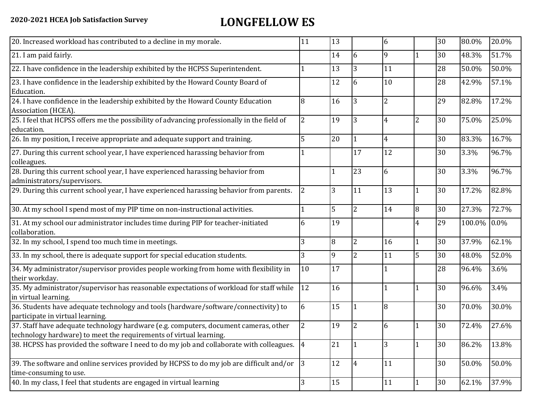## **2020-2021 HCEA Job Satisfaction Survey LONGFELLOW ES**

| 20. Increased workload has contributed to a decline in my morale.                                                                                          | 11             | 13 |                | 6              |                | 30 | 80.0%  | 20.0% |
|------------------------------------------------------------------------------------------------------------------------------------------------------------|----------------|----|----------------|----------------|----------------|----|--------|-------|
| 21. I am paid fairly.                                                                                                                                      |                | 14 | 6              | 9              | 1              | 30 | 48.3%  | 51.7% |
| 22. I have confidence in the leadership exhibited by the HCPSS Superintendent.                                                                             |                | 13 | 3              | 11             |                | 28 | 50.0%  | 50.0% |
| 23. I have confidence in the leadership exhibited by the Howard County Board of<br>Education.                                                              |                | 12 | 6              | 10             |                | 28 | 42.9%  | 57.1% |
| 24. I have confidence in the leadership exhibited by the Howard County Education<br>Association (HCEA).                                                    | 8              | 16 | 3              | $\overline{2}$ |                | 29 | 82.8%  | 17.2% |
| 25. I feel that HCPSS offers me the possibility of advancing professionally in the field of<br>education.                                                  | 2              | 19 | 3              | 4              | 2              | 30 | 75.0%  | 25.0% |
| 26. In my position, I receive appropriate and adequate support and training.                                                                               |                | 20 |                | $\overline{4}$ |                | 30 | 83.3%  | 16.7% |
| 27. During this current school year, I have experienced harassing behavior from<br>colleagues.                                                             |                |    | 17             | 12             |                | 30 | 3.3%   | 96.7% |
| 28. During this current school year, I have experienced harassing behavior from<br>administrators/supervisors.                                             |                |    | 23             | 6              |                | 30 | 3.3%   | 96.7% |
| 29. During this current school year, I have experienced harassing behavior from parents.                                                                   | $\overline{2}$ | 3  | 11             | 13             | 1              | 30 | 17.2%  | 82.8% |
| 30. At my school I spend most of my PIP time on non-instructional activities.                                                                              |                | 5  | $\overline{2}$ | 14             | 8              | 30 | 27.3%  | 72.7% |
| 31. At my school our administrator includes time during PIP for teacher-initiated<br>collaboration.                                                        | 6              | 19 |                |                | $\overline{4}$ | 29 | 100.0% | 0.0%  |
| 32. In my school, I spend too much time in meetings.                                                                                                       | 3              | 8  | $\overline{2}$ | 16             | $\mathbf{1}$   | 30 | 37.9%  | 62.1% |
| 33. In my school, there is adequate support for special education students.                                                                                | 3              | 9  | $\overline{2}$ | 11             | 5              | 30 | 48.0%  | 52.0% |
| 34. My administrator/supervisor provides people working from home with flexibility in<br>their workday.                                                    | 10             | 17 |                |                |                | 28 | 96.4%  | 3.6%  |
| 35. My administrator/supervisor has reasonable expectations of workload for staff while<br>in virtual learning.                                            | 12             | 16 |                |                | $\mathbf{1}$   | 30 | 96.6%  | 3.4%  |
| 36. Students have adequate technology and tools (hardware/software/connectivity) to<br>participate in virtual learning.                                    | 6              | 15 |                | 8              |                | 30 | 70.0%  | 30.0% |
| 37. Staff have adequate technology hardware (e.g. computers, document cameras, other<br>technology hardware) to meet the requirements of virtual learning. |                | 19 | 2              | 6              |                | 30 | 72.4%  | 27.6% |
| 38. HCPSS has provided the software I need to do my job and collaborate with colleagues. 4                                                                 |                | 21 |                | 3              | $\overline{1}$ | 30 | 86.2%  | 13.8% |
| 39. The software and online services provided by HCPSS to do my job are difficult and/or<br>time-consuming to use.                                         | 3              | 12 | $\overline{4}$ | 11             |                | 30 | 50.0%  | 50.0% |
| 40. In my class, I feel that students are engaged in virtual learning                                                                                      | 3              | 15 |                | 11             |                | 30 | 62.1%  | 37.9% |